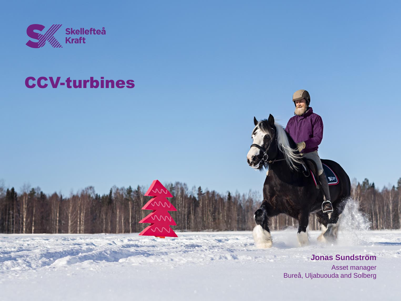

# CCV-turbines

**Jonas Sundström**

Asset manager Bureå, Uljabuouda and Solberg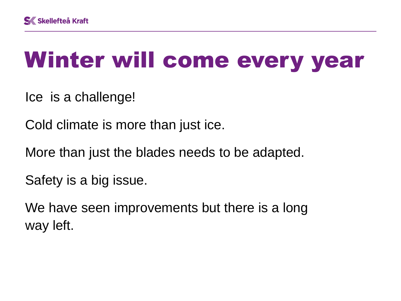# Winter will come every year

Ice is a challenge!

Cold climate is more than just ice.

More than just the blades needs to be adapted.

Safety is a big issue.

We have seen improvements but there is a long way left.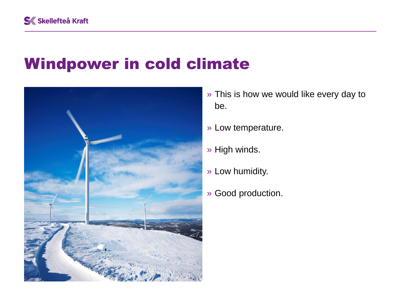#### Windpower in cold climate



- » This is how we would like every day to be.
- » Low temperature.
- » High winds.
- » Low humidity.
- » Good production.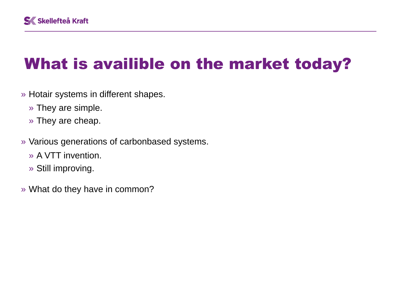# What is availible on the market today?

- » Hotair systems in different shapes.
	- » They are simple.
	- » They are cheap.
- » Various generations of carbonbased systems.
	- » A VTT invention.
	- » Still improving.
- » What do they have in common?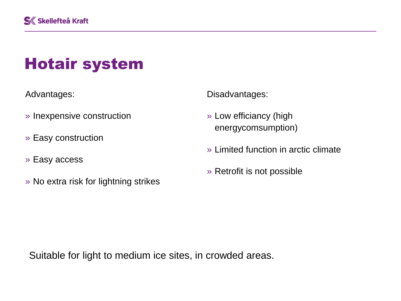# Hotair system

Advantages:

- » Inexpensive construction
- » Easy construction
- » Easy access
- » No extra risk for lightning strikes

Disadvantages:

- » Low efficiancy (high energycomsumption)
- » Limited function in arctic climate
- » Retrofit is not possible

Suitable for light to medium ice sites, in crowded areas.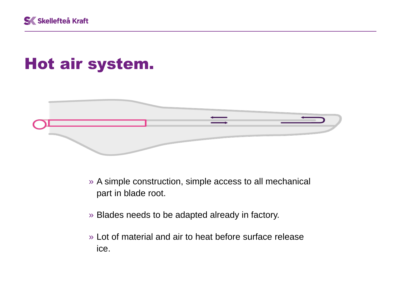

# Hot air system.



- » A simple construction, simple access to all mechanical part in blade root.
- » Blades needs to be adapted already in factory.
- » Lot of material and air to heat before surface release ice.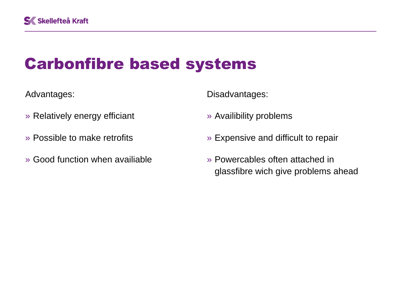#### Carbonfibre based systems

Advantages:

- » Relatively energy efficiant
- » Possible to make retrofits
- » Good function when availiable

Disadvantages:

- » Availibility problems
- » Expensive and difficult to repair
- » Powercables often attached in glassfibre wich give problems ahead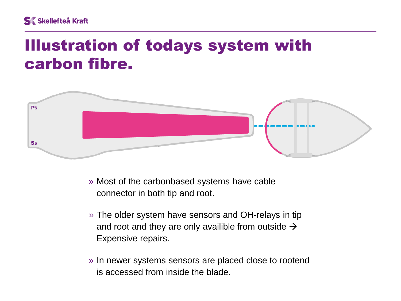#### Illustration of todays system with carbon fibre.



- » Most of the carbonbased systems have cable connector in both tip and root.
- » The older system have sensors and OH-relays in tip and root and they are only availible from outside  $\rightarrow$ Expensive repairs.
- » In newer systems sensors are placed close to rootend is accessed from inside the blade.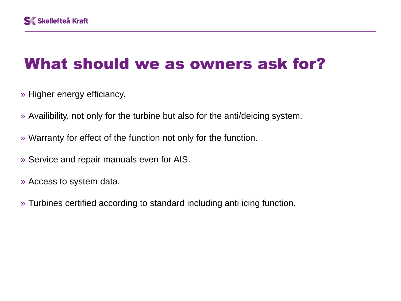# What should we as owners ask for?

- » Higher energy efficiancy.
- » Availibility, not only for the turbine but also for the anti/deicing system.
- » Warranty for effect of the function not only for the function.
- » Service and repair manuals even for AIS.
- » Access to system data.
- » Turbines certified according to standard including anti icing function.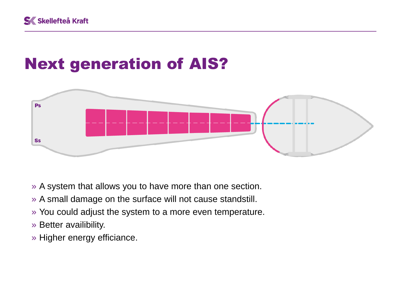# Next generation of AIS?



- » A system that allows you to have more than one section.
- » A small damage on the surface will not cause standstill.
- » You could adjust the system to a more even temperature.
- » Better availibility.
- » Higher energy efficiance.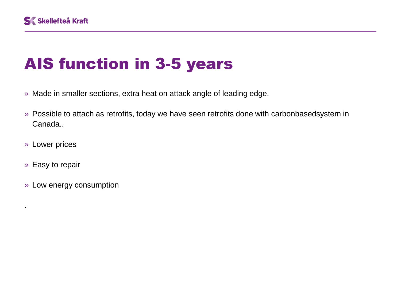## AIS function in 3-5 years

- » Made in smaller sections, extra heat on attack angle of leading edge.
- » Possible to attach as retrofits, today we have seen retrofits done with carbonbasedsystem in Canada..
- » Lower prices
- » Easy to repair

.

» Low energy consumption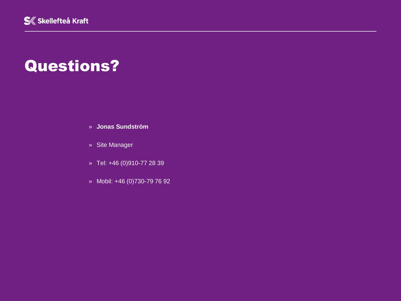#### Questions?

- » **Jonas Sundström**
- » Site Manager
- » Tel: +46 (0)910-77 28 39
- » Mobil: +46 (0)730-79 76 92